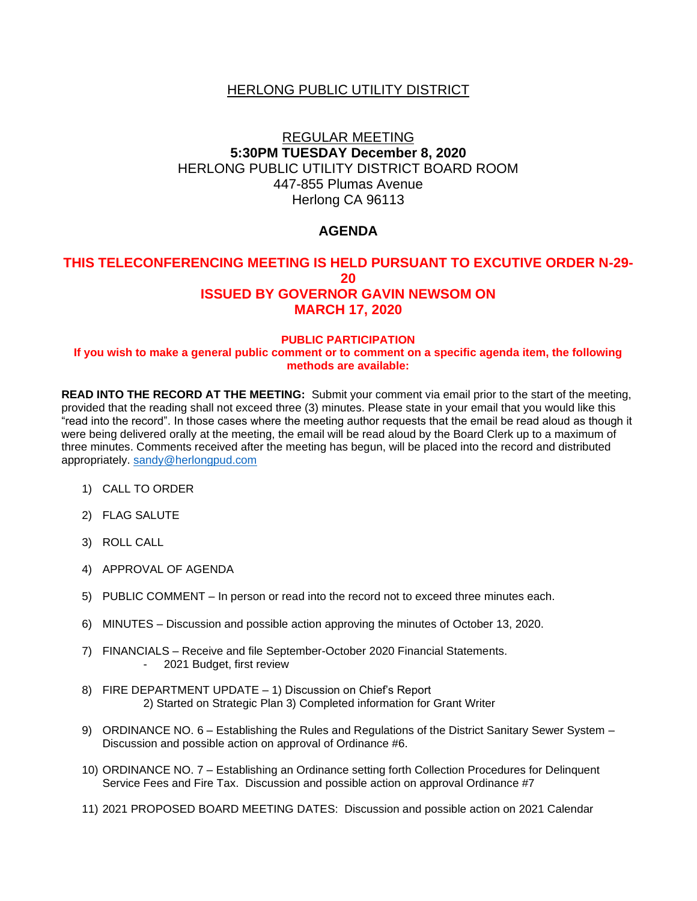## HERLONG PUBLIC UTILITY DISTRICT

# REGULAR MEETING **5:30PM TUESDAY December 8, 2020** HERLONG PUBLIC UTILITY DISTRICT BOARD ROOM 447-855 Plumas Avenue Herlong CA 96113

## **AGENDA**

### **THIS TELECONFERENCING MEETING IS HELD PURSUANT TO EXCUTIVE ORDER N-29- 20 ISSUED BY GOVERNOR GAVIN NEWSOM ON MARCH 17, 2020**

#### **PUBLIC PARTICIPATION**

#### **If you wish to make a general public comment or to comment on a specific agenda item, the following methods are available:**

**READ INTO THE RECORD AT THE MEETING:** Submit your comment via email prior to the start of the meeting, provided that the reading shall not exceed three (3) minutes. Please state in your email that you would like this "read into the record". In those cases where the meeting author requests that the email be read aloud as though it were being delivered orally at the meeting, the email will be read aloud by the Board Clerk up to a maximum of three minutes. Comments received after the meeting has begun, will be placed into the record and distributed appropriately. [sandy@herlongpud.com](mailto:sandy@herlongpud.com)

- 1) CALL TO ORDER
- 2) FLAG SALUTE
- 3) ROLL CALL
- 4) APPROVAL OF AGENDA
- 5) PUBLIC COMMENT In person or read into the record not to exceed three minutes each.
- 6) MINUTES Discussion and possible action approving the minutes of October 13, 2020.
- 7) FINANCIALS Receive and file September-October 2020 Financial Statements. - 2021 Budget, first review
- 8) FIRE DEPARTMENT UPDATE 1) Discussion on Chief's Report 2) Started on Strategic Plan 3) Completed information for Grant Writer
- 9) ORDINANCE NO. 6 Establishing the Rules and Regulations of the District Sanitary Sewer System Discussion and possible action on approval of Ordinance #6.
- 10) ORDINANCE NO. 7 Establishing an Ordinance setting forth Collection Procedures for Delinquent Service Fees and Fire Tax. Discussion and possible action on approval Ordinance #7
- 11) 2021 PROPOSED BOARD MEETING DATES: Discussion and possible action on 2021 Calendar